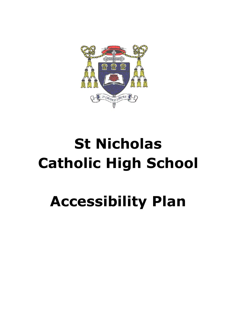

# **St Nicholas Catholic High School**

## **Accessibility Plan**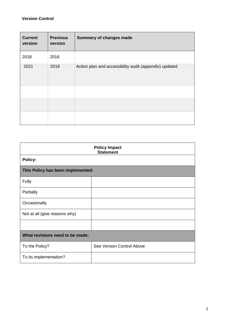#### **Version Control**

| <b>Current</b><br>version | <b>Previous</b><br>version | <b>Summary of changes made</b>                         |
|---------------------------|----------------------------|--------------------------------------------------------|
| 2018                      | 2016                       |                                                        |
| 2021                      | 2018                       | Action plan and accessibility audit (appendix) updated |
|                           |                            |                                                        |
|                           |                            |                                                        |
|                           |                            |                                                        |

| <b>Policy Impact</b><br><b>Statement</b> |                           |  |  |
|------------------------------------------|---------------------------|--|--|
| Policy:                                  |                           |  |  |
| This Policy has been implemented:        |                           |  |  |
| Fully                                    |                           |  |  |
| Partially                                |                           |  |  |
| Occasionally                             |                           |  |  |
| Not at all (give reasons why)            |                           |  |  |
|                                          |                           |  |  |
| What revisions need to be made:          |                           |  |  |
| To the Policy?                           | See Version Control Above |  |  |
| To its implementation?                   |                           |  |  |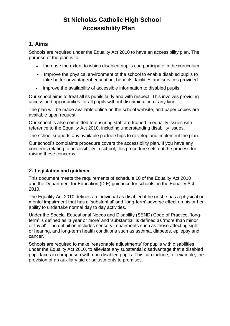## **St Nicholas Catholic High School Accessibility Plan**

## **1. Aims**

Schools are required under the Equality Act 2010 to have an accessibility plan. The purpose of the plan is to:

- Increase the extent to which disabled pupils can participate in the curriculum
- Improve the physical environment of the school to enable disabled pupils to take better advantageof education, benefits, facilities and services provided
- Improve the availability of accessible information to disabled pupils

Our school aims to treat all its pupils fairly and with respect. This involves providing access and opportunities for all pupils without discrimination of any kind.

The plan will be made available online on the school website, and paper copies are available upon request.

Our school is also committed to ensuring staff are trained in equality issues with reference to the Equality Act 2010, including understanding disability issues.

The school supports any available partnerships to develop and implement the plan.

Our school's complaints procedure covers the accessibility plan. If you have any concerns relating to accessibility in school, this procedure sets out the process for raising these concerns.

## **2. Legislation and guidance**

This document meets the requirements of schedule 10 of the Equality Act 2010 and the Department for Education (DfE) guidance for schools on the Equality Act 2010.

The Equality Act 2010 defines an individual as disabled if he or she has a physical or mental impairment that has a 'substantial' and 'long-term' adverse effect on his or her ability to undertake normal day to day activities.

Under the Special Educational Needs and Disability (SEND) Code of Practice, 'longterm' is defined as 'a year or more' and 'substantial' is defined as 'more than minor or trivial'. The definition includes sensory impairments such as those affecting sight or hearing, and long-term health conditions such as asthma, diabetes, epilepsy and cancer.

Schools are required to make 'reasonable adjustments' for pupils with disabilities under the Equality Act 2010, to alleviate any substantial disadvantage that a disabled pupil faces in comparison with non-disabled pupils. This can include, for example, the provision of an auxiliary aid or adjustments to premises.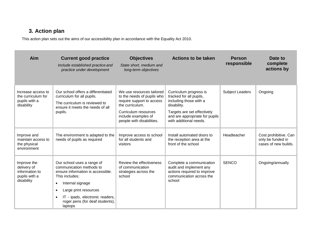## **3. Action plan**

This action plan sets out the aims of our accessibility plan in accordance with the Equality Act 2010.

| Aim                                                                         | <b>Current good practice</b><br>Include established practice and<br>practice under development                                                                                                                                                                             | <b>Objectives</b><br>State short, medium and<br>long-term objectives                                                                                                                | <b>Actions to be taken</b>                                                                                                                                                            | <b>Person</b><br>responsible | Date to<br>complete<br>actions by                                  |
|-----------------------------------------------------------------------------|----------------------------------------------------------------------------------------------------------------------------------------------------------------------------------------------------------------------------------------------------------------------------|-------------------------------------------------------------------------------------------------------------------------------------------------------------------------------------|---------------------------------------------------------------------------------------------------------------------------------------------------------------------------------------|------------------------------|--------------------------------------------------------------------|
| Increase access to<br>the curriculum for<br>pupils with a<br>disability     | Our school offers a differentiated<br>curriculum for all pupils.<br>The curriculum is reviewed to<br>ensure it meets the needs of all<br>pupils.                                                                                                                           | We use resources tailored<br>to the needs of pupils who<br>require support to access<br>the curriculum.<br>Curriculum resources<br>include examples of<br>people with disabilities. | Curriculum progress is<br>tracked for all pupils,<br>including those with a<br>disability.<br>Targets are set effectively<br>and are appropriate for pupils<br>with additional needs. | <b>Subject Leaders</b>       | Ongoing                                                            |
| Improve and<br>maintain access to<br>the physical<br>environment            | The environment is adapted to the<br>needs of pupils as required                                                                                                                                                                                                           | Improve access to school<br>for all students and<br>visitors                                                                                                                        | Install automated doors to<br>the reception area at the<br>front of the school                                                                                                        | Headteacher                  | Cost prohibitive. Can<br>only be funded in<br>cases of new builds. |
| Improve the<br>delivery of<br>information to<br>pupils with a<br>disability | Our school uses a range of<br>communication methods to<br>ensure information is accessible.<br>This includes:<br>Internal signage<br>$\bullet$<br>Large print resources<br>٠<br>IT - ipads, electronic readers,<br>$\bullet$<br>roger pens (for deaf students),<br>laptops | Review the effectiveness<br>of communication<br>strategies across the<br>school                                                                                                     | Complete a communication<br>audit and implement any<br>actions required to improve<br>communication across the<br>school                                                              | <b>SENCO</b>                 | Ongoing/annually                                                   |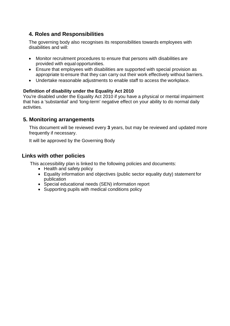## **4. Roles and Responsibilities**

The governing body also recognises its responsibilities towards employees with disabilities and will:

- Monitor recruitment procedures to ensure that persons with disabilities are provided with equal opportunities.
- Ensure that employees with disabilities are supported with special provision as appropriate to ensure that they can carry out their work effectively without barriers.
- Undertake reasonable adjustments to enable staff to access the workplace.

#### **Definition of disability under the Equality Act 2010**

You're disabled under the Equality Act 2010 if you have a physical or mental impairment that has a 'substantial' and 'long-term' negative effect on your ability to do normal daily activities.

### **5. Monitoring arrangements**

This document will be reviewed every **3** years, but may be reviewed and updated more frequently if necessary.

It will be approved by the Governing Body

### **Links with other policies**

This accessibility plan is linked to the following policies and documents:

- Health and safety policy
- Equality information and objectives (public sector equality duty) statement for publication
- Special educational needs (SEN) information report
- Supporting pupils with medical conditions policy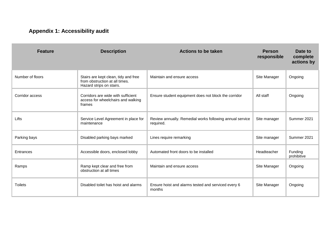## **Appendix 1: Accessibility audit**

| <b>Feature</b>   | <b>Description</b>                                                                                 | <b>Actions to be taken</b>                                            | <b>Person</b><br>responsible | Date to<br>complete<br>actions by |
|------------------|----------------------------------------------------------------------------------------------------|-----------------------------------------------------------------------|------------------------------|-----------------------------------|
| Number of floors | Stairs are kept clean, tidy and free<br>from obstruction at all times.<br>Hazard strips on stairs. | Maintain and ensure access                                            | Site Manager                 | Ongoing                           |
| Corridor access  | Corridors are wide with sufficient<br>access for wheelchairs and walking<br>frames                 | Ensure student equipment does not block the corridor                  | All staff                    | Ongoing                           |
| Lifts            | Service Level Agreement in place for<br>maintenance                                                | Review annually. Remedial works following annual service<br>required. | Site manager                 | Summer 2021                       |
| Parking bays     | Disabled parking bays marked                                                                       | Lines require remarking                                               | Site manager                 | Summer 2021                       |
| Entrances        | Accessible doors, enclosed lobby                                                                   | Automated front doors to be installed                                 | Headteacher                  | Funding<br>prohibitive            |
| Ramps            | Ramp kept clear and free from<br>obstruction at all times                                          | Maintain and ensure access                                            | Site Manager                 | Ongoing                           |
| <b>Toilets</b>   | Disabled toilet has hoist and alarms                                                               | Ensure hoist and alarms tested and serviced every 6<br>months         | Site Manager                 | Ongoing                           |